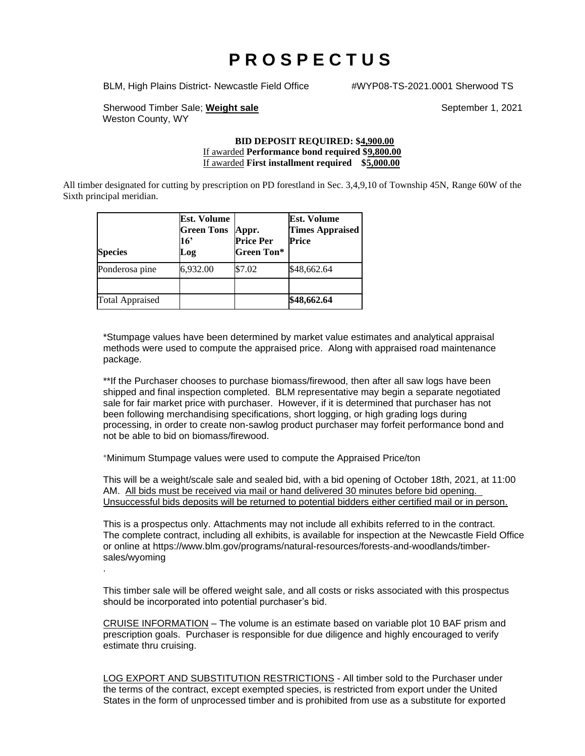# **P R O S P E C T U S**

BLM, High Plains District- Newcastle Field Office #WYP08-TS-2021.0001 Sherwood TS

Sherwood Timber Sale; Weight sale September 1, 2021 Weston County, WY

.

#### **BID DEPOSIT REQUIRED: \$4,900.00** If awarded **Performance bond required \$9,800.00** If awarded **First installment required \$5,000.00**

All timber designated for cutting by prescription on PD forestland in Sec. 3,4,9,10 of Township 45N, Range 60W of the Sixth principal meridian.

| <b>Species</b>         | Est. Volume<br><b>Green Tons</b><br>16'<br>Log | Appr.<br><b>Price Per</b><br><b>Green Ton*</b> | <b>Est. Volume</b><br><b>Times Appraised</b><br><b>Price</b> |
|------------------------|------------------------------------------------|------------------------------------------------|--------------------------------------------------------------|
| Ponderosa pine         | 6,932.00                                       | \$7.02                                         | \$48,662.64                                                  |
| <b>Total Appraised</b> |                                                |                                                | \$48,662.64                                                  |

\*Stumpage values have been determined by market value estimates and analytical appraisal methods were used to compute the appraised price. Along with appraised road maintenance package.

\*\*If the Purchaser chooses to purchase biomass/firewood, then after all saw logs have been shipped and final inspection completed. BLM representative may begin a separate negotiated sale for fair market price with purchaser. However, if it is determined that purchaser has not been following merchandising specifications, short logging, or high grading logs during processing, in order to create non-sawlog product purchaser may forfeit performance bond and not be able to bid on biomass/firewood.

<sup>+</sup>Minimum Stumpage values were used to compute the Appraised Price/ton

This will be a weight/scale sale and sealed bid, with a bid opening of October 18th, 2021, at 11:00 AM. All bids must be received via mail or hand delivered 30 minutes before bid opening. Unsuccessful bids deposits will be returned to potential bidders either certified mail or in person.

This is a prospectus only. Attachments may not include all exhibits referred to in the contract. The complete contract, including all exhibits, is available for inspection at the Newcastle Field Office or online at https://www.blm.gov/programs/natural-resources/forests-and-woodlands/timbersales/wyoming

This timber sale will be offered weight sale, and all costs or risks associated with this prospectus should be incorporated into potential purchaser's bid.

CRUISE INFORMATION – The volume is an estimate based on variable plot 10 BAF prism and prescription goals. Purchaser is responsible for due diligence and highly encouraged to verify estimate thru cruising.

LOG EXPORT AND SUBSTITUTION RESTRICTIONS - All timber sold to the Purchaser under the terms of the contract, except exempted species, is restricted from export under the United States in the form of unprocessed timber and is prohibited from use as a substitute for exported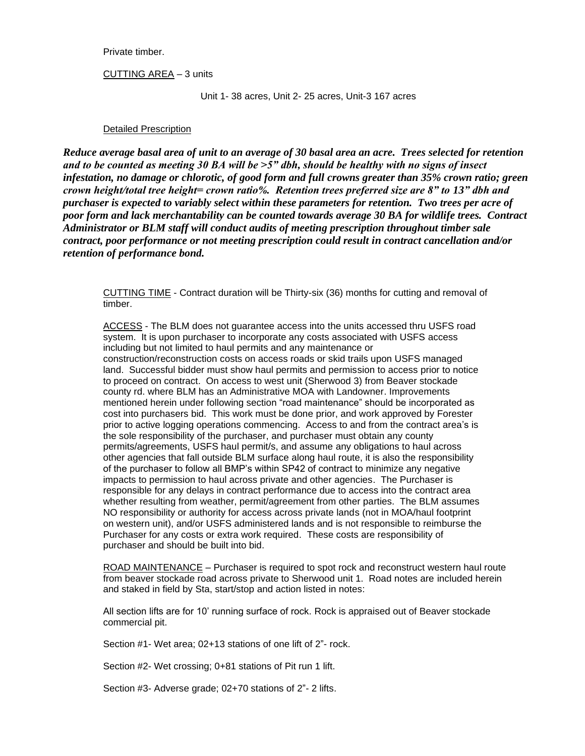Private timber.

CUTTING AREA – 3 units

Unit 1- 38 acres, Unit 2- 25 acres, Unit-3 167 acres

#### Detailed Prescription

*Reduce average basal area of unit to an average of 30 basal area an acre. Trees selected for retention and to be counted as meeting 30 BA will be >5" dbh, should be healthy with no signs of insect infestation, no damage or chlorotic, of good form and full crowns greater than 35% crown ratio; green crown height/total tree height= crown ratio%. Retention trees preferred size are 8" to 13" dbh and purchaser is expected to variably select within these parameters for retention. Two trees per acre of poor form and lack merchantability can be counted towards average 30 BA for wildlife trees. Contract Administrator or BLM staff will conduct audits of meeting prescription throughout timber sale contract, poor performance or not meeting prescription could result in contract cancellation and/or retention of performance bond.*

CUTTING TIME - Contract duration will be Thirty-six (36) months for cutting and removal of timber.

ACCESS - The BLM does not guarantee access into the units accessed thru USFS road system. It is upon purchaser to incorporate any costs associated with USFS access including but not limited to haul permits and any maintenance or construction/reconstruction costs on access roads or skid trails upon USFS managed land. Successful bidder must show haul permits and permission to access prior to notice to proceed on contract. On access to west unit (Sherwood 3) from Beaver stockade county rd. where BLM has an Administrative MOA with Landowner. Improvements mentioned herein under following section "road maintenance" should be incorporated as cost into purchasers bid. This work must be done prior, and work approved by Forester prior to active logging operations commencing. Access to and from the contract area's is the sole responsibility of the purchaser, and purchaser must obtain any county permits/agreements, USFS haul permit/s, and assume any obligations to haul across other agencies that fall outside BLM surface along haul route, it is also the responsibility of the purchaser to follow all BMP's within SP42 of contract to minimize any negative impacts to permission to haul across private and other agencies. The Purchaser is responsible for any delays in contract performance due to access into the contract area whether resulting from weather, permit/agreement from other parties. The BLM assumes NO responsibility or authority for access across private lands (not in MOA/haul footprint on western unit), and/or USFS administered lands and is not responsible to reimburse the Purchaser for any costs or extra work required. These costs are responsibility of purchaser and should be built into bid.

ROAD MAINTENANCE - Purchaser is required to spot rock and reconstruct western haul route from beaver stockade road across private to Sherwood unit 1. Road notes are included herein and staked in field by Sta, start/stop and action listed in notes:

All section lifts are for 10' running surface of rock. Rock is appraised out of Beaver stockade commercial pit.

Section #1- Wet area; 02+13 stations of one lift of 2"- rock.

Section #2- Wet crossing; 0+81 stations of Pit run 1 lift.

Section #3- Adverse grade; 02+70 stations of 2"- 2 lifts.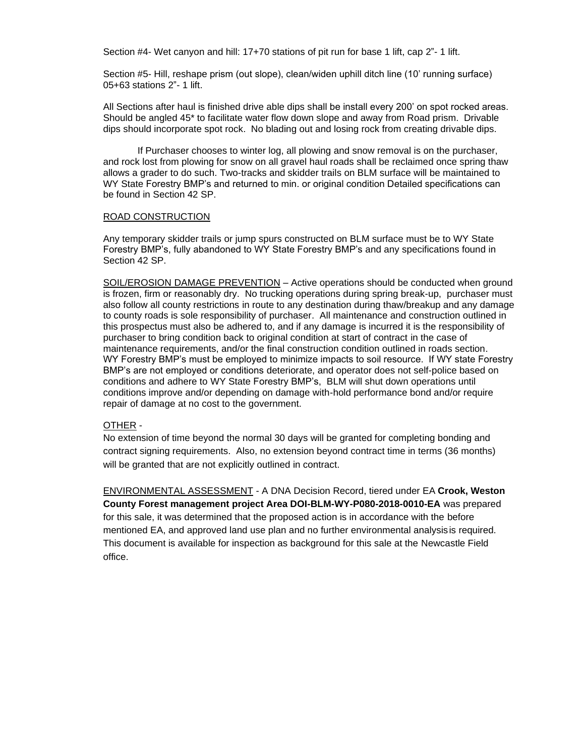Section #4- Wet canyon and hill: 17+70 stations of pit run for base 1 lift, cap 2"- 1 lift.

Section #5- Hill, reshape prism (out slope), clean/widen uphill ditch line (10' running surface) 05+63 stations 2"- 1 lift.

All Sections after haul is finished drive able dips shall be install every 200' on spot rocked areas. Should be angled 45\* to facilitate water flow down slope and away from Road prism. Drivable dips should incorporate spot rock. No blading out and losing rock from creating drivable dips.

If Purchaser chooses to winter log, all plowing and snow removal is on the purchaser, and rock lost from plowing for snow on all gravel haul roads shall be reclaimed once spring thaw allows a grader to do such. Two-tracks and skidder trails on BLM surface will be maintained to WY State Forestry BMP's and returned to min. or original condition Detailed specifications can be found in Section 42 SP.

#### ROAD CONSTRUCTION

Any temporary skidder trails or jump spurs constructed on BLM surface must be to WY State Forestry BMP's, fully abandoned to WY State Forestry BMP's and any specifications found in Section 42 SP.

SOIL/EROSION DAMAGE PREVENTION – Active operations should be conducted when ground is frozen, firm or reasonably dry. No trucking operations during spring break-up, purchaser must also follow all county restrictions in route to any destination during thaw/breakup and any damage to county roads is sole responsibility of purchaser. All maintenance and construction outlined in this prospectus must also be adhered to, and if any damage is incurred it is the responsibility of purchaser to bring condition back to original condition at start of contract in the case of maintenance requirements, and/or the final construction condition outlined in roads section. WY Forestry BMP's must be employed to minimize impacts to soil resource. If WY state Forestry BMP's are not employed or conditions deteriorate, and operator does not self-police based on conditions and adhere to WY State Forestry BMP's, BLM will shut down operations until conditions improve and/or depending on damage with-hold performance bond and/or require repair of damage at no cost to the government.

#### OTHER -

No extension of time beyond the normal 30 days will be granted for completing bonding and contract signing requirements. Also, no extension beyond contract time in terms (36 months) will be granted that are not explicitly outlined in contract.

ENVIRONMENTAL ASSESSMENT - A DNA Decision Record, tiered under EA **Crook, Weston County Forest management project Area DOI-BLM-WY-P080-2018-0010-EA** was prepared for this sale, it was determined that the proposed action is in accordance with the before mentioned EA, and approved land use plan and no further environmental analysisis required. This document is available for inspection as background for this sale at the Newcastle Field office.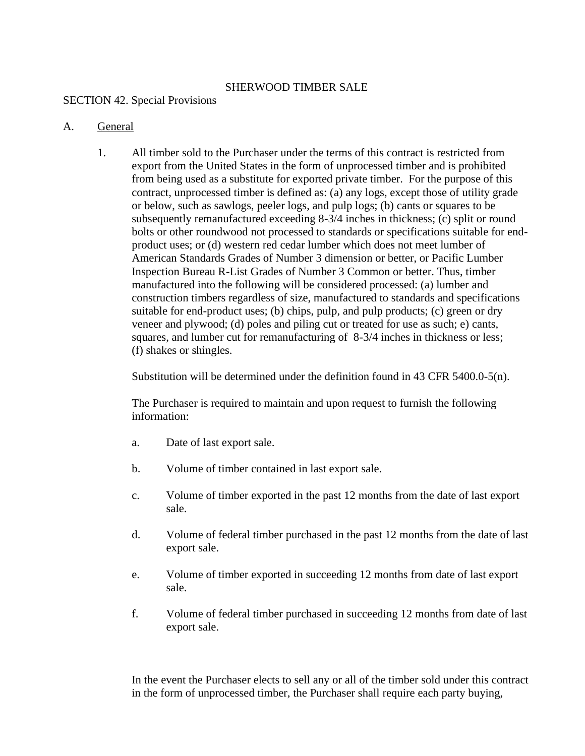#### SHERWOOD TIMBER SALE

#### SECTION 42. Special Provisions

#### A. General

1. All timber sold to the Purchaser under the terms of this contract is restricted from export from the United States in the form of unprocessed timber and is prohibited from being used as a substitute for exported private timber. For the purpose of this contract, unprocessed timber is defined as: (a) any logs, except those of utility grade or below, such as sawlogs, peeler logs, and pulp logs; (b) cants or squares to be subsequently remanufactured exceeding 8-3/4 inches in thickness; (c) split or round bolts or other roundwood not processed to standards or specifications suitable for endproduct uses; or (d) western red cedar lumber which does not meet lumber of American Standards Grades of Number 3 dimension or better, or Pacific Lumber Inspection Bureau R-List Grades of Number 3 Common or better. Thus, timber manufactured into the following will be considered processed: (a) lumber and construction timbers regardless of size, manufactured to standards and specifications suitable for end-product uses; (b) chips, pulp, and pulp products; (c) green or dry veneer and plywood; (d) poles and piling cut or treated for use as such; e) cants, squares, and lumber cut for remanufacturing of 8-3/4 inches in thickness or less; (f) shakes or shingles.

Substitution will be determined under the definition found in 43 CFR 5400.0-5(n).

The Purchaser is required to maintain and upon request to furnish the following information:

- a. Date of last export sale.
- b. Volume of timber contained in last export sale.
- c. Volume of timber exported in the past 12 months from the date of last export sale.
- d. Volume of federal timber purchased in the past 12 months from the date of last export sale.
- e. Volume of timber exported in succeeding 12 months from date of last export sale.
- f. Volume of federal timber purchased in succeeding 12 months from date of last export sale.

In the event the Purchaser elects to sell any or all of the timber sold under this contract in the form of unprocessed timber, the Purchaser shall require each party buying,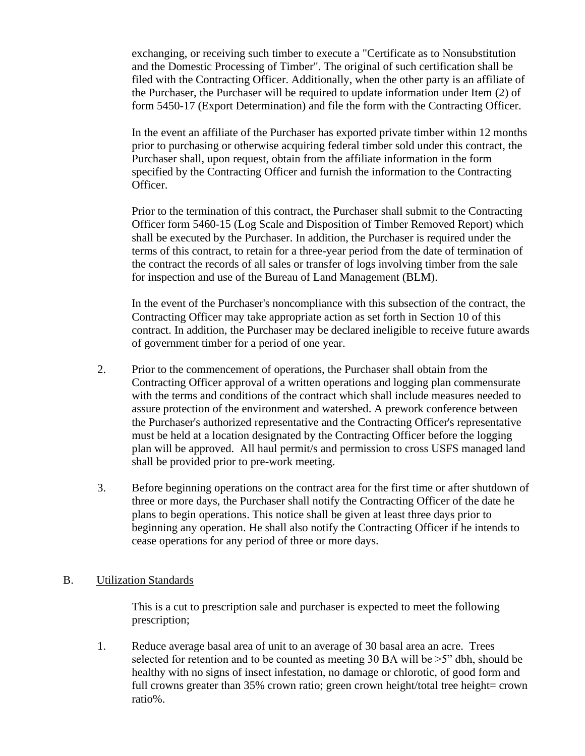exchanging, or receiving such timber to execute a "Certificate as to Nonsubstitution and the Domestic Processing of Timber". The original of such certification shall be filed with the Contracting Officer. Additionally, when the other party is an affiliate of the Purchaser, the Purchaser will be required to update information under Item (2) of form 5450-17 (Export Determination) and file the form with the Contracting Officer.

In the event an affiliate of the Purchaser has exported private timber within 12 months prior to purchasing or otherwise acquiring federal timber sold under this contract, the Purchaser shall, upon request, obtain from the affiliate information in the form specified by the Contracting Officer and furnish the information to the Contracting Officer.

Prior to the termination of this contract, the Purchaser shall submit to the Contracting Officer form 5460-15 (Log Scale and Disposition of Timber Removed Report) which shall be executed by the Purchaser. In addition, the Purchaser is required under the terms of this contract, to retain for a three-year period from the date of termination of the contract the records of all sales or transfer of logs involving timber from the sale for inspection and use of the Bureau of Land Management (BLM).

In the event of the Purchaser's noncompliance with this subsection of the contract, the Contracting Officer may take appropriate action as set forth in Section 10 of this contract. In addition, the Purchaser may be declared ineligible to receive future awards of government timber for a period of one year.

- 2. Prior to the commencement of operations, the Purchaser shall obtain from the Contracting Officer approval of a written operations and logging plan commensurate with the terms and conditions of the contract which shall include measures needed to assure protection of the environment and watershed. A prework conference between the Purchaser's authorized representative and the Contracting Officer's representative must be held at a location designated by the Contracting Officer before the logging plan will be approved. All haul permit/s and permission to cross USFS managed land shall be provided prior to pre-work meeting.
- 3. Before beginning operations on the contract area for the first time or after shutdown of three or more days, the Purchaser shall notify the Contracting Officer of the date he plans to begin operations. This notice shall be given at least three days prior to beginning any operation. He shall also notify the Contracting Officer if he intends to cease operations for any period of three or more days.

## B. Utilization Standards

This is a cut to prescription sale and purchaser is expected to meet the following prescription;

1. Reduce average basal area of unit to an average of 30 basal area an acre. Trees selected for retention and to be counted as meeting 30 BA will be  $>5$ " dbh, should be healthy with no signs of insect infestation, no damage or chlorotic, of good form and full crowns greater than 35% crown ratio; green crown height/total tree height= crown ratio%.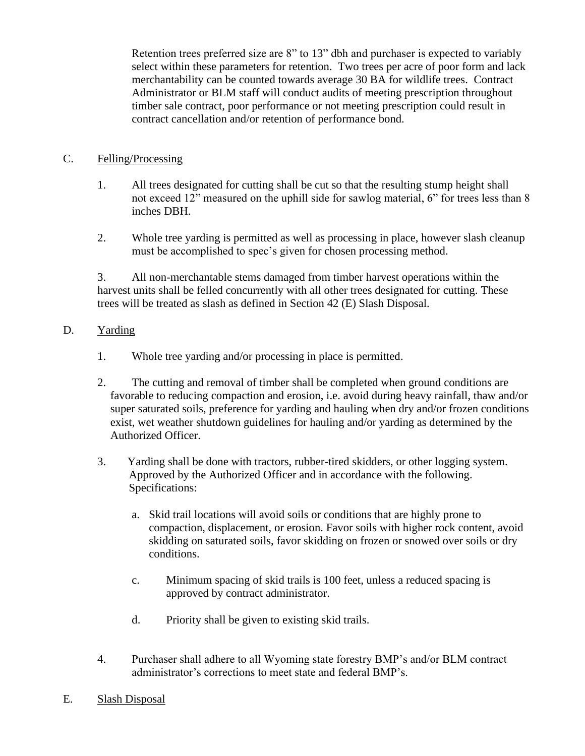Retention trees preferred size are 8" to 13" dbh and purchaser is expected to variably select within these parameters for retention. Two trees per acre of poor form and lack merchantability can be counted towards average 30 BA for wildlife trees. Contract Administrator or BLM staff will conduct audits of meeting prescription throughout timber sale contract, poor performance or not meeting prescription could result in contract cancellation and/or retention of performance bond.

# C. Felling/Processing

- 1. All trees designated for cutting shall be cut so that the resulting stump height shall not exceed 12" measured on the uphill side for sawlog material, 6" for trees less than 8 inches DBH.
- 2. Whole tree yarding is permitted as well as processing in place, however slash cleanup must be accomplished to spec's given for chosen processing method.

3. All non-merchantable stems damaged from timber harvest operations within the harvest units shall be felled concurrently with all other trees designated for cutting. These trees will be treated as slash as defined in Section 42 (E) Slash Disposal.

## D. Yarding

- 1. Whole tree yarding and/or processing in place is permitted.
- 2. The cutting and removal of timber shall be completed when ground conditions are favorable to reducing compaction and erosion, i.e. avoid during heavy rainfall, thaw and/or super saturated soils, preference for yarding and hauling when dry and/or frozen conditions exist, wet weather shutdown guidelines for hauling and/or yarding as determined by the Authorized Officer.
- 3. Yarding shall be done with tractors, rubber-tired skidders, or other logging system. Approved by the Authorized Officer and in accordance with the following. Specifications:
	- a. Skid trail locations will avoid soils or conditions that are highly prone to compaction, displacement, or erosion. Favor soils with higher rock content, avoid skidding on saturated soils, favor skidding on frozen or snowed over soils or dry conditions.
	- c. Minimum spacing of skid trails is 100 feet, unless a reduced spacing is approved by contract administrator.
	- d. Priority shall be given to existing skid trails.
- 4. Purchaser shall adhere to all Wyoming state forestry BMP's and/or BLM contract administrator's corrections to meet state and federal BMP's.
- E. Slash Disposal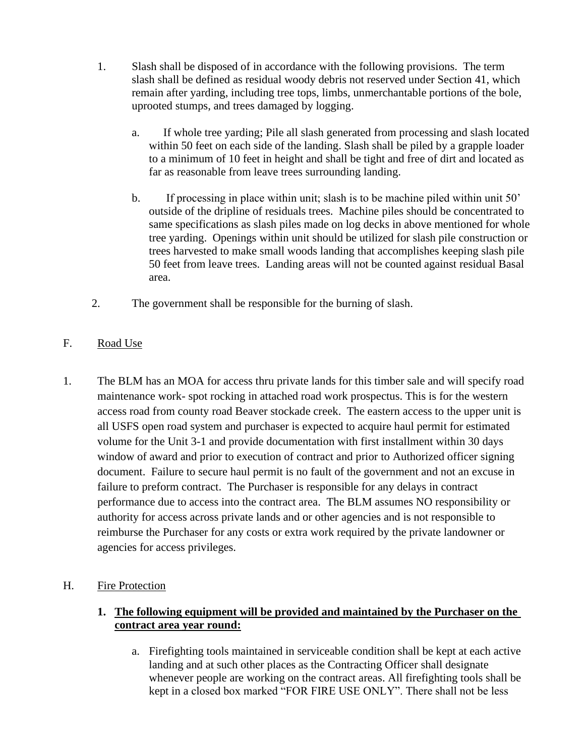- 1. Slash shall be disposed of in accordance with the following provisions. The term slash shall be defined as residual woody debris not reserved under Section 41, which remain after yarding, including tree tops, limbs, unmerchantable portions of the bole, uprooted stumps, and trees damaged by logging.
	- a. If whole tree yarding; Pile all slash generated from processing and slash located within 50 feet on each side of the landing. Slash shall be piled by a grapple loader to a minimum of 10 feet in height and shall be tight and free of dirt and located as far as reasonable from leave trees surrounding landing.
	- b. If processing in place within unit; slash is to be machine piled within unit 50' outside of the dripline of residuals trees. Machine piles should be concentrated to same specifications as slash piles made on log decks in above mentioned for whole tree yarding. Openings within unit should be utilized for slash pile construction or trees harvested to make small woods landing that accomplishes keeping slash pile 50 feet from leave trees. Landing areas will not be counted against residual Basal area.
- 2. The government shall be responsible for the burning of slash.
- F. Road Use
- 1. The BLM has an MOA for access thru private lands for this timber sale and will specify road maintenance work- spot rocking in attached road work prospectus. This is for the western access road from county road Beaver stockade creek. The eastern access to the upper unit is all USFS open road system and purchaser is expected to acquire haul permit for estimated volume for the Unit 3-1 and provide documentation with first installment within 30 days window of award and prior to execution of contract and prior to Authorized officer signing document. Failure to secure haul permit is no fault of the government and not an excuse in failure to preform contract. The Purchaser is responsible for any delays in contract performance due to access into the contract area. The BLM assumes NO responsibility or authority for access across private lands and or other agencies and is not responsible to reimburse the Purchaser for any costs or extra work required by the private landowner or agencies for access privileges.
- H. Fire Protection

# **1. The following equipment will be provided and maintained by the Purchaser on the contract area year round:**

a. Firefighting tools maintained in serviceable condition shall be kept at each active landing and at such other places as the Contracting Officer shall designate whenever people are working on the contract areas. All firefighting tools shall be kept in a closed box marked "FOR FIRE USE ONLY". There shall not be less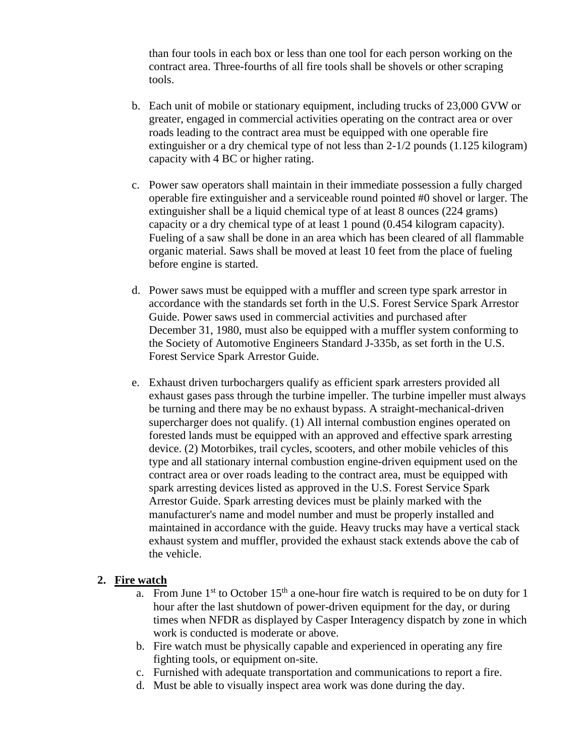than four tools in each box or less than one tool for each person working on the contract area. Three-fourths of all fire tools shall be shovels or other scraping tools.

- b. Each unit of mobile or stationary equipment, including trucks of 23,000 GVW or greater, engaged in commercial activities operating on the contract area or over roads leading to the contract area must be equipped with one operable fire extinguisher or a dry chemical type of not less than 2-1/2 pounds (1.125 kilogram) capacity with 4 BC or higher rating.
- c. Power saw operators shall maintain in their immediate possession a fully charged operable fire extinguisher and a serviceable round pointed #0 shovel or larger. The extinguisher shall be a liquid chemical type of at least 8 ounces (224 grams) capacity or a dry chemical type of at least 1 pound (0.454 kilogram capacity). Fueling of a saw shall be done in an area which has been cleared of all flammable organic material. Saws shall be moved at least 10 feet from the place of fueling before engine is started.
- d. Power saws must be equipped with a muffler and screen type spark arrestor in accordance with the standards set forth in the U.S. Forest Service Spark Arrestor Guide. Power saws used in commercial activities and purchased after December 31, 1980, must also be equipped with a muffler system conforming to the Society of Automotive Engineers Standard J-335b, as set forth in the U.S. Forest Service Spark Arrestor Guide.
- e. Exhaust driven turbochargers qualify as efficient spark arresters provided all exhaust gases pass through the turbine impeller. The turbine impeller must always be turning and there may be no exhaust bypass. A straight-mechanical-driven supercharger does not qualify. (1) All internal combustion engines operated on forested lands must be equipped with an approved and effective spark arresting device. (2) Motorbikes, trail cycles, scooters, and other mobile vehicles of this type and all stationary internal combustion engine-driven equipment used on the contract area or over roads leading to the contract area, must be equipped with spark arresting devices listed as approved in the U.S. Forest Service Spark Arrestor Guide. Spark arresting devices must be plainly marked with the manufacturer's name and model number and must be properly installed and maintained in accordance with the guide. Heavy trucks may have a vertical stack exhaust system and muffler, provided the exhaust stack extends above the cab of the vehicle.

## **2. Fire watch**

- a. From June  $1<sup>st</sup>$  to October  $15<sup>th</sup>$  a one-hour fire watch is required to be on duty for 1 hour after the last shutdown of power-driven equipment for the day, or during times when NFDR as displayed by Casper Interagency dispatch by zone in which work is conducted is moderate or above.
- b. Fire watch must be physically capable and experienced in operating any fire fighting tools, or equipment on-site.
- c. Furnished with adequate transportation and communications to report a fire.
- d. Must be able to visually inspect area work was done during the day.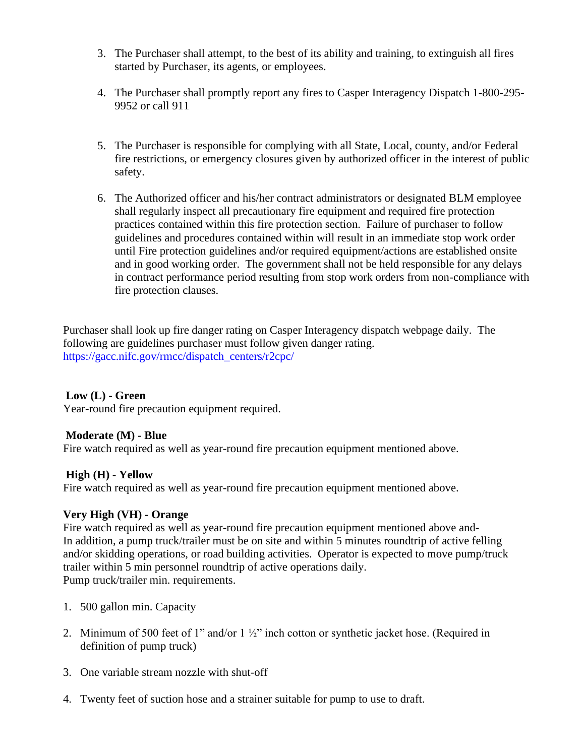- 3. The Purchaser shall attempt, to the best of its ability and training, to extinguish all fires started by Purchaser, its agents, or employees.
- 4. The Purchaser shall promptly report any fires to Casper Interagency Dispatch 1-800-295- 9952 or call 911
- 5. The Purchaser is responsible for complying with all State, Local, county, and/or Federal fire restrictions, or emergency closures given by authorized officer in the interest of public safety.
- 6. The Authorized officer and his/her contract administrators or designated BLM employee shall regularly inspect all precautionary fire equipment and required fire protection practices contained within this fire protection section. Failure of purchaser to follow guidelines and procedures contained within will result in an immediate stop work order until Fire protection guidelines and/or required equipment/actions are established onsite and in good working order. The government shall not be held responsible for any delays in contract performance period resulting from stop work orders from non-compliance with fire protection clauses.

Purchaser shall look up fire danger rating on Casper Interagency dispatch webpage daily. The following are guidelines purchaser must follow given danger rating. [https://gacc.nifc.gov/rmcc/dispatch\\_centers/r2cpc/](https://gacc.nifc.gov/rmcc/dispatch_centers/r2cpc/)

# **Low (L) - Green**

Year-round fire precaution equipment required.

## **Moderate (M) - Blue**

Fire watch required as well as year-round fire precaution equipment mentioned above.

# **High (H) - Yellow**

Fire watch required as well as year-round fire precaution equipment mentioned above.

# **Very High (VH) - Orange**

Fire watch required as well as year-round fire precaution equipment mentioned above and-In addition, a pump truck/trailer must be on site and within 5 minutes roundtrip of active felling and/or skidding operations, or road building activities. Operator is expected to move pump/truck trailer within 5 min personnel roundtrip of active operations daily. Pump truck/trailer min. requirements.

- 1. 500 gallon min. Capacity
- 2. Minimum of 500 feet of 1" and/or 1 ½" inch cotton or synthetic jacket hose. (Required in definition of pump truck)
- 3. One variable stream nozzle with shut-off
- 4. Twenty feet of suction hose and a strainer suitable for pump to use to draft.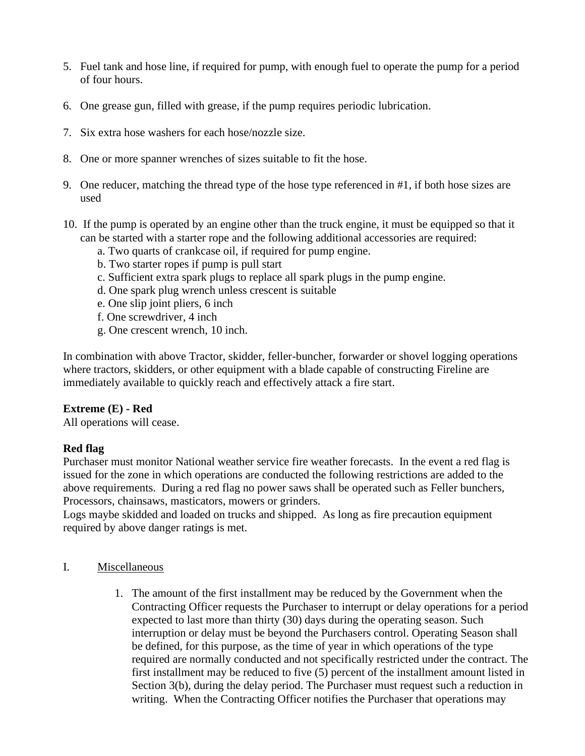- 5. Fuel tank and hose line, if required for pump, with enough fuel to operate the pump for a period of four hours.
- 6. One grease gun, filled with grease, if the pump requires periodic lubrication.
- 7. Six extra hose washers for each hose/nozzle size.
- 8. One or more spanner wrenches of sizes suitable to fit the hose.
- 9. One reducer, matching the thread type of the hose type referenced in #1, if both hose sizes are used
- 10. If the pump is operated by an engine other than the truck engine, it must be equipped so that it can be started with a starter rope and the following additional accessories are required:
	- a. Two quarts of crankcase oil, if required for pump engine.
	- b. Two starter ropes if pump is pull start
	- c. Sufficient extra spark plugs to replace all spark plugs in the pump engine.
	- d. One spark plug wrench unless crescent is suitable
	- e. One slip joint pliers, 6 inch
	- f. One screwdriver, 4 inch
	- g. One crescent wrench, 10 inch.

In combination with above Tractor, skidder, feller-buncher, forwarder or shovel logging operations where tractors, skidders, or other equipment with a blade capable of constructing Fireline are immediately available to quickly reach and effectively attack a fire start.

## **Extreme (E) - Red**

All operations will cease.

# **Red flag**

Purchaser must monitor National weather service fire weather forecasts. In the event a red flag is issued for the zone in which operations are conducted the following restrictions are added to the above requirements. During a red flag no power saws shall be operated such as Feller bunchers, Processors, chainsaws, masticators, mowers or grinders.

Logs maybe skidded and loaded on trucks and shipped. As long as fire precaution equipment required by above danger ratings is met.

## I. Miscellaneous

1. The amount of the first installment may be reduced by the Government when the Contracting Officer requests the Purchaser to interrupt or delay operations for a period expected to last more than thirty (30) days during the operating season. Such interruption or delay must be beyond the Purchasers control. Operating Season shall be defined, for this purpose, as the time of year in which operations of the type required are normally conducted and not specifically restricted under the contract. The first installment may be reduced to five (5) percent of the installment amount listed in Section 3(b), during the delay period. The Purchaser must request such a reduction in writing. When the Contracting Officer notifies the Purchaser that operations may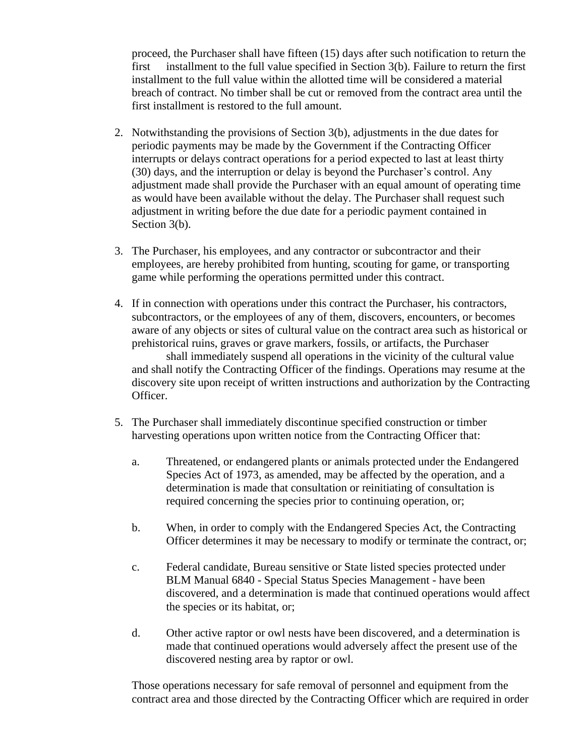proceed, the Purchaser shall have fifteen (15) days after such notification to return the first installment to the full value specified in Section 3(b). Failure to return the first installment to the full value within the allotted time will be considered a material breach of contract. No timber shall be cut or removed from the contract area until the first installment is restored to the full amount.

- 2. Notwithstanding the provisions of Section 3(b), adjustments in the due dates for periodic payments may be made by the Government if the Contracting Officer interrupts or delays contract operations for a period expected to last at least thirty (30) days, and the interruption or delay is beyond the Purchaser's control. Any adjustment made shall provide the Purchaser with an equal amount of operating time as would have been available without the delay. The Purchaser shall request such adjustment in writing before the due date for a periodic payment contained in Section 3(b).
- 3. The Purchaser, his employees, and any contractor or subcontractor and their employees, are hereby prohibited from hunting, scouting for game, or transporting game while performing the operations permitted under this contract.
- 4. If in connection with operations under this contract the Purchaser, his contractors, subcontractors, or the employees of any of them, discovers, encounters, or becomes aware of any objects or sites of cultural value on the contract area such as historical or prehistorical ruins, graves or grave markers, fossils, or artifacts, the Purchaser shall immediately suspend all operations in the vicinity of the cultural value and shall notify the Contracting Officer of the findings. Operations may resume at the discovery site upon receipt of written instructions and authorization by the Contracting Officer.
- 5. The Purchaser shall immediately discontinue specified construction or timber harvesting operations upon written notice from the Contracting Officer that:
	- a. Threatened, or endangered plants or animals protected under the Endangered Species Act of 1973, as amended, may be affected by the operation, and a determination is made that consultation or reinitiating of consultation is required concerning the species prior to continuing operation, or;
	- b. When, in order to comply with the Endangered Species Act, the Contracting Officer determines it may be necessary to modify or terminate the contract, or;
	- c. Federal candidate, Bureau sensitive or State listed species protected under BLM Manual 6840 - Special Status Species Management - have been discovered, and a determination is made that continued operations would affect the species or its habitat, or;
	- d. Other active raptor or owl nests have been discovered, and a determination is made that continued operations would adversely affect the present use of the discovered nesting area by raptor or owl.

Those operations necessary for safe removal of personnel and equipment from the contract area and those directed by the Contracting Officer which are required in order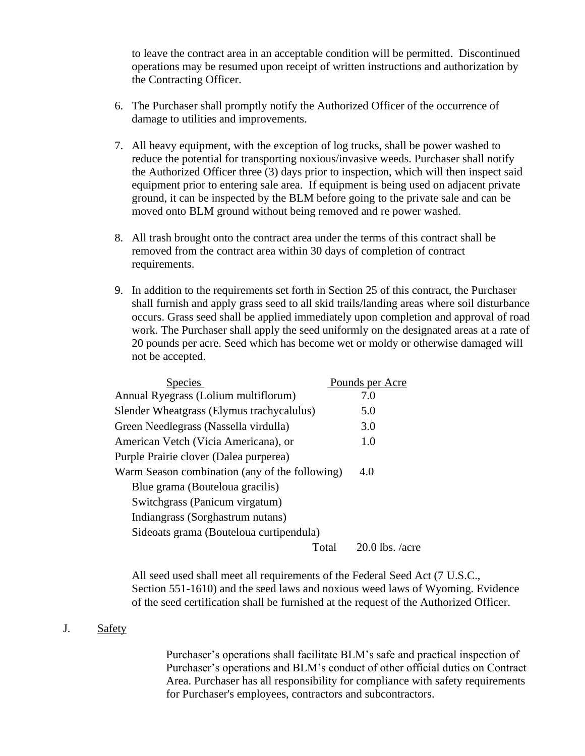to leave the contract area in an acceptable condition will be permitted. Discontinued operations may be resumed upon receipt of written instructions and authorization by the Contracting Officer.

- 6. The Purchaser shall promptly notify the Authorized Officer of the occurrence of damage to utilities and improvements.
- 7. All heavy equipment, with the exception of log trucks, shall be power washed to reduce the potential for transporting noxious/invasive weeds. Purchaser shall notify the Authorized Officer three (3) days prior to inspection, which will then inspect said equipment prior to entering sale area. If equipment is being used on adjacent private ground, it can be inspected by the BLM before going to the private sale and can be moved onto BLM ground without being removed and re power washed.
- 8. All trash brought onto the contract area under the terms of this contract shall be removed from the contract area within 30 days of completion of contract requirements.
- 9. In addition to the requirements set forth in Section 25 of this contract, the Purchaser shall furnish and apply grass seed to all skid trails/landing areas where soil disturbance occurs. Grass seed shall be applied immediately upon completion and approval of road work. The Purchaser shall apply the seed uniformly on the designated areas at a rate of 20 pounds per acre. Seed which has become wet or moldy or otherwise damaged will not be accepted.

| <b>Species</b>                                 | Pounds per Acre   |
|------------------------------------------------|-------------------|
| Annual Ryegrass (Lolium multiflorum)           | 7.0               |
| Slender Wheatgrass (Elymus trachycalulus)      | 5.0               |
| Green Needlegrass (Nassella virdulla)          | 3.0               |
| American Vetch (Vicia Americana), or           | 1.0               |
| Purple Prairie clover (Dalea purperea)         |                   |
| Warm Season combination (any of the following) | 4.0               |
| Blue grama (Bouteloua gracilis)                |                   |
| Switchgrass (Panicum virgatum)                 |                   |
| Indiangrass (Sorghastrum nutans)               |                   |
| Sideoats grama (Bouteloua curtipendula)        |                   |
| Total                                          | $20.0$ lbs. /acre |

All seed used shall meet all requirements of the Federal Seed Act (7 U.S.C., Section 551-1610) and the seed laws and noxious weed laws of Wyoming. Evidence of the seed certification shall be furnished at the request of the Authorized Officer.

#### J. Safety

Purchaser's operations shall facilitate BLM's safe and practical inspection of Purchaser's operations and BLM's conduct of other official duties on Contract Area. Purchaser has all responsibility for compliance with safety requirements for Purchaser's employees, contractors and subcontractors.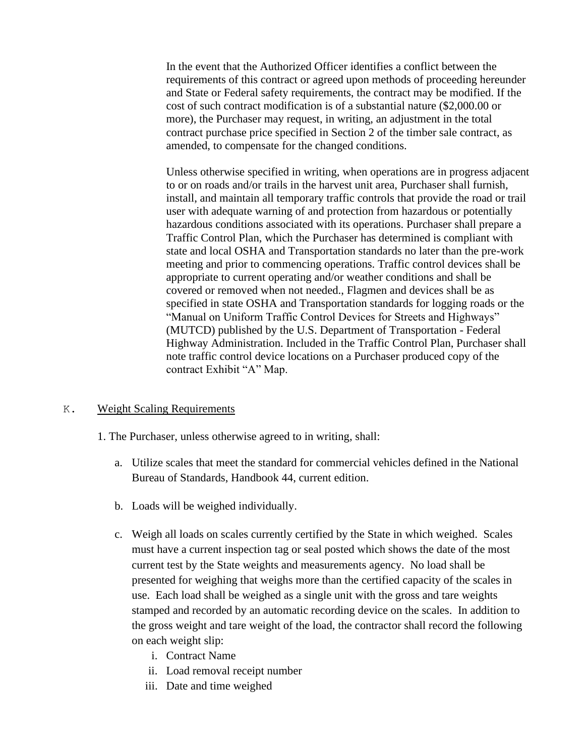In the event that the Authorized Officer identifies a conflict between the requirements of this contract or agreed upon methods of proceeding hereunder and State or Federal safety requirements, the contract may be modified. If the cost of such contract modification is of a substantial nature (\$2,000.00 or more), the Purchaser may request, in writing, an adjustment in the total contract purchase price specified in Section 2 of the timber sale contract, as amended, to compensate for the changed conditions.

Unless otherwise specified in writing, when operations are in progress adjacent to or on roads and/or trails in the harvest unit area, Purchaser shall furnish, install, and maintain all temporary traffic controls that provide the road or trail user with adequate warning of and protection from hazardous or potentially hazardous conditions associated with its operations. Purchaser shall prepare a Traffic Control Plan, which the Purchaser has determined is compliant with state and local OSHA and Transportation standards no later than the pre-work meeting and prior to commencing operations. Traffic control devices shall be appropriate to current operating and/or weather conditions and shall be covered or removed when not needed., Flagmen and devices shall be as specified in state OSHA and Transportation standards for logging roads or the "Manual on Uniform Traffic Control Devices for Streets and Highways" (MUTCD) published by the U.S. Department of Transportation - Federal Highway Administration. Included in the Traffic Control Plan, Purchaser shall note traffic control device locations on a Purchaser produced copy of the contract Exhibit "A" Map.

## K. Weight Scaling Requirements

- 1. The Purchaser, unless otherwise agreed to in writing, shall:
	- a. Utilize scales that meet the standard for commercial vehicles defined in the National Bureau of Standards, Handbook 44, current edition.
	- b. Loads will be weighed individually.
	- c. Weigh all loads on scales currently certified by the State in which weighed. Scales must have a current inspection tag or seal posted which shows the date of the most current test by the State weights and measurements agency. No load shall be presented for weighing that weighs more than the certified capacity of the scales in use. Each load shall be weighed as a single unit with the gross and tare weights stamped and recorded by an automatic recording device on the scales. In addition to the gross weight and tare weight of the load, the contractor shall record the following on each weight slip:
		- i. Contract Name
		- ii. Load removal receipt number
		- iii. Date and time weighed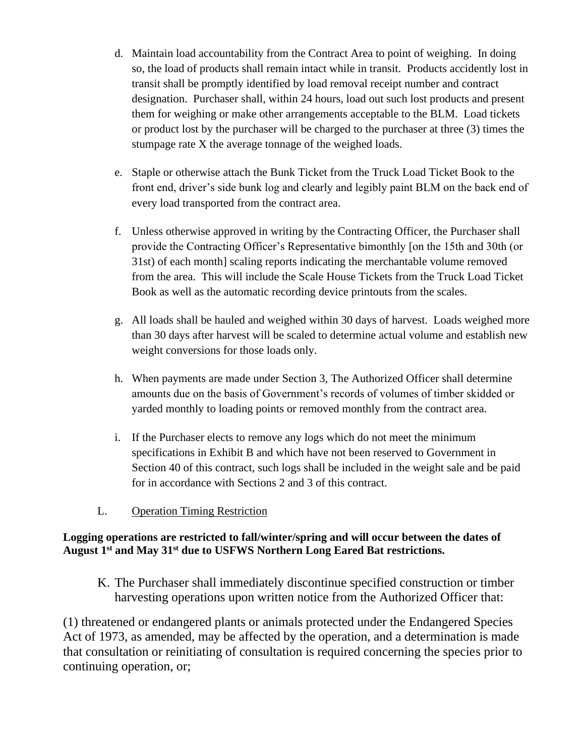- d. Maintain load accountability from the Contract Area to point of weighing. In doing so, the load of products shall remain intact while in transit. Products accidently lost in transit shall be promptly identified by load removal receipt number and contract designation. Purchaser shall, within 24 hours, load out such lost products and present them for weighing or make other arrangements acceptable to the BLM. Load tickets or product lost by the purchaser will be charged to the purchaser at three (3) times the stumpage rate X the average tonnage of the weighed loads.
- e. Staple or otherwise attach the Bunk Ticket from the Truck Load Ticket Book to the front end, driver's side bunk log and clearly and legibly paint BLM on the back end of every load transported from the contract area.
- f. Unless otherwise approved in writing by the Contracting Officer, the Purchaser shall provide the Contracting Officer's Representative bimonthly [on the 15th and 30th (or 31st) of each month] scaling reports indicating the merchantable volume removed from the area. This will include the Scale House Tickets from the Truck Load Ticket Book as well as the automatic recording device printouts from the scales.
- g. All loads shall be hauled and weighed within 30 days of harvest. Loads weighed more than 30 days after harvest will be scaled to determine actual volume and establish new weight conversions for those loads only.
- h. When payments are made under Section 3, The Authorized Officer shall determine amounts due on the basis of Government's records of volumes of timber skidded or yarded monthly to loading points or removed monthly from the contract area.
- i. If the Purchaser elects to remove any logs which do not meet the minimum specifications in Exhibit B and which have not been reserved to Government in Section 40 of this contract, such logs shall be included in the weight sale and be paid for in accordance with Sections 2 and 3 of this contract.
- L. Operation Timing Restriction

# **Logging operations are restricted to fall/winter/spring and will occur between the dates of August 1st and May 31st due to USFWS Northern Long Eared Bat restrictions.**

K. The Purchaser shall immediately discontinue specified construction or timber harvesting operations upon written notice from the Authorized Officer that:

(1) threatened or endangered plants or animals protected under the Endangered Species Act of 1973, as amended, may be affected by the operation, and a determination is made that consultation or reinitiating of consultation is required concerning the species prior to continuing operation, or;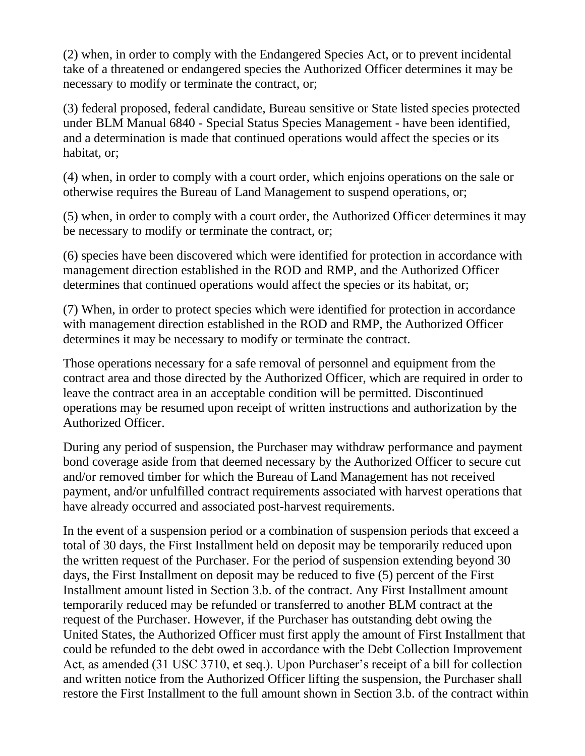(2) when, in order to comply with the Endangered Species Act, or to prevent incidental take of a threatened or endangered species the Authorized Officer determines it may be necessary to modify or terminate the contract, or;

(3) federal proposed, federal candidate, Bureau sensitive or State listed species protected under BLM Manual 6840 - Special Status Species Management - have been identified, and a determination is made that continued operations would affect the species or its habitat, or;

(4) when, in order to comply with a court order, which enjoins operations on the sale or otherwise requires the Bureau of Land Management to suspend operations, or;

(5) when, in order to comply with a court order, the Authorized Officer determines it may be necessary to modify or terminate the contract, or;

(6) species have been discovered which were identified for protection in accordance with management direction established in the ROD and RMP, and the Authorized Officer determines that continued operations would affect the species or its habitat, or;

(7) When, in order to protect species which were identified for protection in accordance with management direction established in the ROD and RMP, the Authorized Officer determines it may be necessary to modify or terminate the contract.

Those operations necessary for a safe removal of personnel and equipment from the contract area and those directed by the Authorized Officer, which are required in order to leave the contract area in an acceptable condition will be permitted. Discontinued operations may be resumed upon receipt of written instructions and authorization by the Authorized Officer.

During any period of suspension, the Purchaser may withdraw performance and payment bond coverage aside from that deemed necessary by the Authorized Officer to secure cut and/or removed timber for which the Bureau of Land Management has not received payment, and/or unfulfilled contract requirements associated with harvest operations that have already occurred and associated post-harvest requirements.

In the event of a suspension period or a combination of suspension periods that exceed a total of 30 days, the First Installment held on deposit may be temporarily reduced upon the written request of the Purchaser. For the period of suspension extending beyond 30 days, the First Installment on deposit may be reduced to five (5) percent of the First Installment amount listed in Section 3.b. of the contract. Any First Installment amount temporarily reduced may be refunded or transferred to another BLM contract at the request of the Purchaser. However, if the Purchaser has outstanding debt owing the United States, the Authorized Officer must first apply the amount of First Installment that could be refunded to the debt owed in accordance with the Debt Collection Improvement Act, as amended (31 USC 3710, et seq.). Upon Purchaser's receipt of a bill for collection and written notice from the Authorized Officer lifting the suspension, the Purchaser shall restore the First Installment to the full amount shown in Section 3.b. of the contract within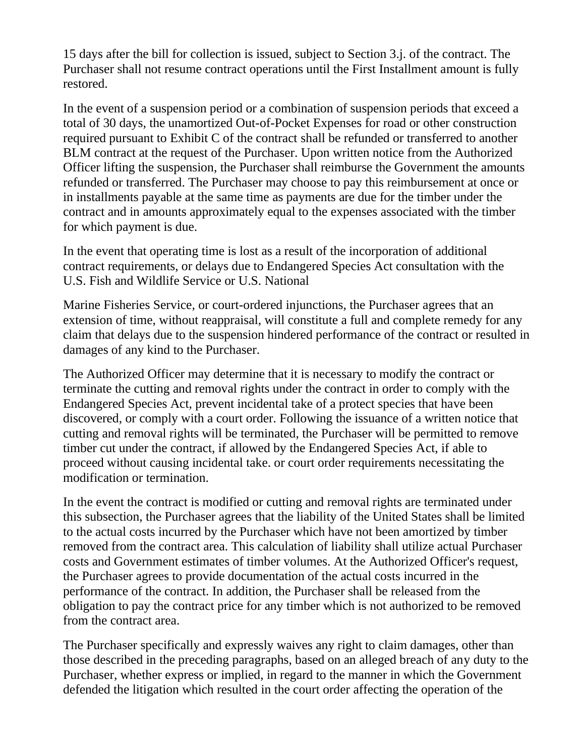15 days after the bill for collection is issued, subject to Section 3.j. of the contract. The Purchaser shall not resume contract operations until the First Installment amount is fully restored.

In the event of a suspension period or a combination of suspension periods that exceed a total of 30 days, the unamortized Out-of-Pocket Expenses for road or other construction required pursuant to Exhibit C of the contract shall be refunded or transferred to another BLM contract at the request of the Purchaser. Upon written notice from the Authorized Officer lifting the suspension, the Purchaser shall reimburse the Government the amounts refunded or transferred. The Purchaser may choose to pay this reimbursement at once or in installments payable at the same time as payments are due for the timber under the contract and in amounts approximately equal to the expenses associated with the timber for which payment is due.

In the event that operating time is lost as a result of the incorporation of additional contract requirements, or delays due to Endangered Species Act consultation with the U.S. Fish and Wildlife Service or U.S. National

Marine Fisheries Service, or court-ordered injunctions, the Purchaser agrees that an extension of time, without reappraisal, will constitute a full and complete remedy for any claim that delays due to the suspension hindered performance of the contract or resulted in damages of any kind to the Purchaser.

The Authorized Officer may determine that it is necessary to modify the contract or terminate the cutting and removal rights under the contract in order to comply with the Endangered Species Act, prevent incidental take of a protect species that have been discovered, or comply with a court order. Following the issuance of a written notice that cutting and removal rights will be terminated, the Purchaser will be permitted to remove timber cut under the contract, if allowed by the Endangered Species Act, if able to proceed without causing incidental take. or court order requirements necessitating the modification or termination.

In the event the contract is modified or cutting and removal rights are terminated under this subsection, the Purchaser agrees that the liability of the United States shall be limited to the actual costs incurred by the Purchaser which have not been amortized by timber removed from the contract area. This calculation of liability shall utilize actual Purchaser costs and Government estimates of timber volumes. At the Authorized Officer's request, the Purchaser agrees to provide documentation of the actual costs incurred in the performance of the contract. In addition, the Purchaser shall be released from the obligation to pay the contract price for any timber which is not authorized to be removed from the contract area.

The Purchaser specifically and expressly waives any right to claim damages, other than those described in the preceding paragraphs, based on an alleged breach of any duty to the Purchaser, whether express or implied, in regard to the manner in which the Government defended the litigation which resulted in the court order affecting the operation of the